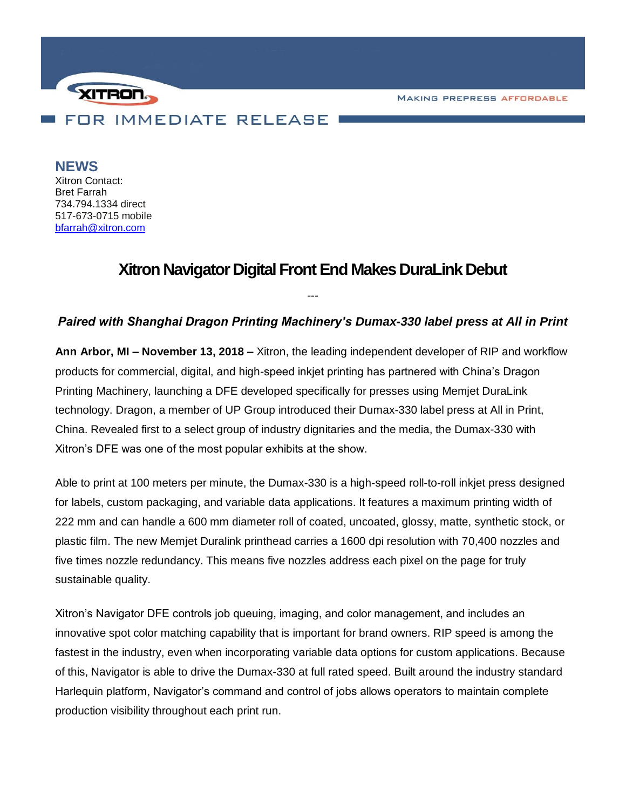**MAKING PREPRESS AFFORDABLE** 



**NEWS** Xitron Contact: Bret Farrah 734.794.1334 direct 517-673-0715 mobile [bfarrah@xitron.com](mailto:bfarrah@xitron.com)

# **Xitron Navigator Digital Front End Makes DuraLink Debut**

## *Paired with Shanghai Dragon Printing Machinery's Dumax-330 label press at All in Print*

*---*

**Ann Arbor, MI – November 13, 2018 –** Xitron, the leading independent developer of RIP and workflow products for commercial, digital, and high-speed inkjet printing has partnered with China's Dragon Printing Machinery, launching a DFE developed specifically for presses using Memjet DuraLink technology. Dragon, a member of UP Group introduced their Dumax-330 label press at All in Print, China. Revealed first to a select group of industry dignitaries and the media, the Dumax-330 with Xitron's DFE was one of the most popular exhibits at the show.

Able to print at 100 meters per minute, the Dumax-330 is a high-speed roll-to-roll inkjet press designed for labels, custom packaging, and variable data applications. It features a maximum printing width of 222 mm and can handle a 600 mm diameter roll of coated, uncoated, glossy, matte, synthetic stock, or plastic film. The new Memjet Duralink printhead carries a 1600 dpi resolution with 70,400 nozzles and five times nozzle redundancy. This means five nozzles address each pixel on the page for truly sustainable quality.

Xitron's Navigator DFE controls job queuing, imaging, and color management, and includes an innovative spot color matching capability that is important for brand owners. RIP speed is among the fastest in the industry, even when incorporating variable data options for custom applications. Because of this, Navigator is able to drive the Dumax-330 at full rated speed. Built around the industry standard Harlequin platform, Navigator's command and control of jobs allows operators to maintain complete production visibility throughout each print run.